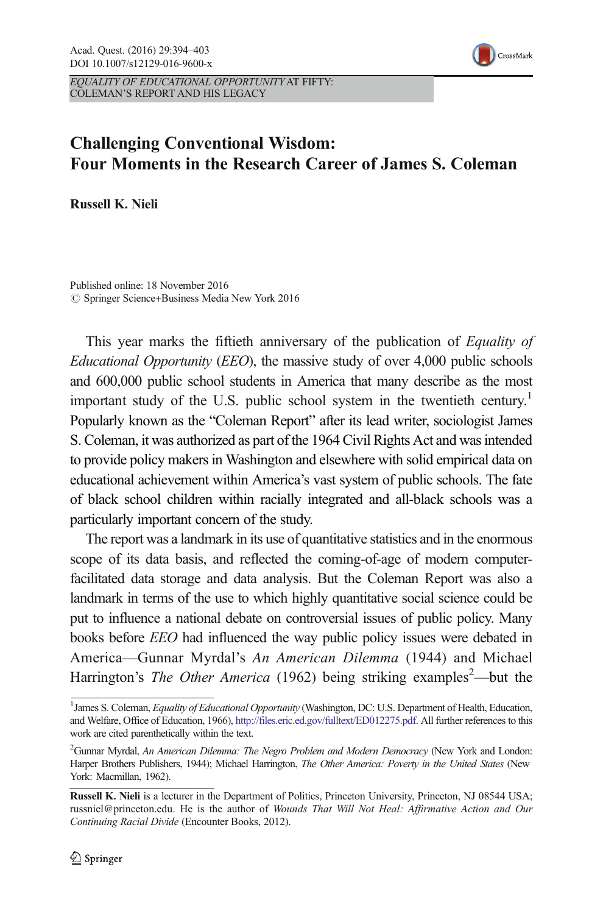

EQUALITY OF EDUCATIONAL OPPORTUNITYAT FIFTY: COLEMAN'S REPORT AND HIS LEGACY

# Challenging Conventional Wisdom: Four Moments in the Research Career of James S. Coleman

Russell K. Nieli

Published online: 18 November 2016  $\oslash$  Springer Science+Business Media New York 2016

This year marks the fiftieth anniversary of the publication of Equality of Educational Opportunity (EEO), the massive study of over 4,000 public schools and 600,000 public school students in America that many describe as the most important study of the U.S. public school system in the twentieth century.<sup>1</sup> Popularly known as the "Coleman Report" after its lead writer, sociologist James S. Coleman, it was authorized as part of the 1964 Civil Rights Act and was intended to provide policy makers in Washington and elsewhere with solid empirical data on educational achievement within America's vast system of public schools. The fate of black school children within racially integrated and all-black schools was a particularly important concern of the study.

The report was a landmark in its use of quantitative statistics and in the enormous scope of its data basis, and reflected the coming-of-age of modern computerfacilitated data storage and data analysis. But the Coleman Report was also a landmark in terms of the use to which highly quantitative social science could be put to influence a national debate on controversial issues of public policy. Many books before EEO had influenced the way public policy issues were debated in America—Gunnar Myrdal's An American Dilemma (1944) and Michael Harrington's *The Other America* (1962) being striking examples<sup>2</sup>—but the

<sup>&</sup>lt;sup>1</sup> James S. Coleman, Equality of Educational Opportunity (Washington, DC: U.S. Department of Health, Education, and Welfare, Office of Education, 1966), <http://files.eric.ed.gov/fulltext/ED012275.pdf>. All further references to this work are cited parenthetically within the text.

<sup>&</sup>lt;sup>2</sup> Gunnar Myrdal, An American Dilemma: The Negro Problem and Modern Democracy (New York and London: Harper Brothers Publishers, 1944); Michael Harrington, The Other America: Poverty in the United States (New York: Macmillan, 1962).

Russell K. Nieli is a lecturer in the Department of Politics, Princeton University, Princeton, NJ 08544 USA; russniel@princeton.edu. He is the author of Wounds That Will Not Heal: Affirmative Action and Our Continuing Racial Divide (Encounter Books, 2012).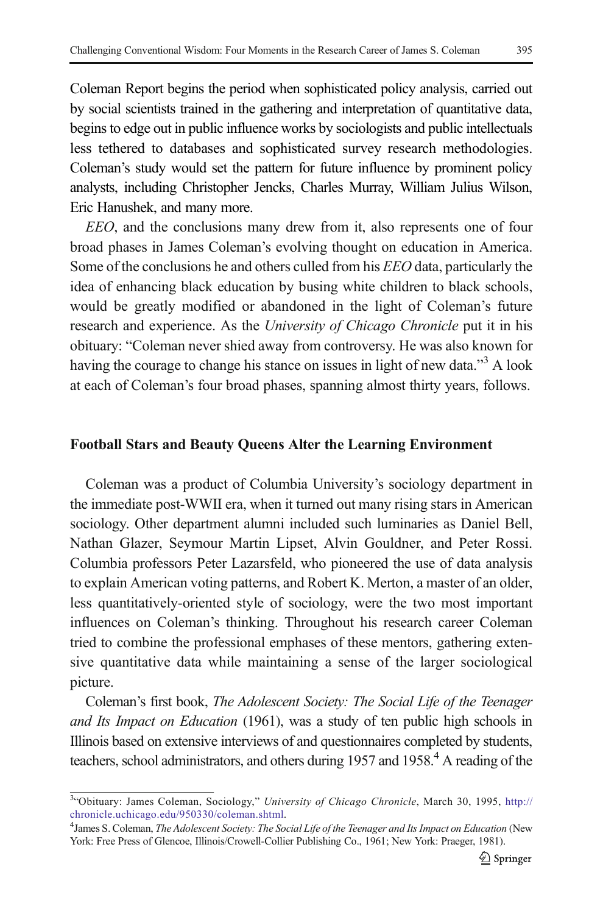Coleman Report begins the period when sophisticated policy analysis, carried out by social scientists trained in the gathering and interpretation of quantitative data, begins to edge out in public influence works by sociologists and public intellectuals less tethered to databases and sophisticated survey research methodologies. Coleman's study would set the pattern for future influence by prominent policy analysts, including Christopher Jencks, Charles Murray, William Julius Wilson, Eric Hanushek, and many more.

EEO, and the conclusions many drew from it, also represents one of four broad phases in James Coleman's evolving thought on education in America. Some of the conclusions he and others culled from his EEO data, particularly the idea of enhancing black education by busing white children to black schools, would be greatly modified or abandoned in the light of Coleman's future research and experience. As the University of Chicago Chronicle put it in his obituary: "Coleman never shied away from controversy. He was also known for having the courage to change his stance on issues in light of new data."<sup>3</sup> A look at each of Coleman's four broad phases, spanning almost thirty years, follows.

### Football Stars and Beauty Queens Alter the Learning Environment

Coleman was a product of Columbia University's sociology department in the immediate post-WWII era, when it turned out many rising stars in American sociology. Other department alumni included such luminaries as Daniel Bell, Nathan Glazer, Seymour Martin Lipset, Alvin Gouldner, and Peter Rossi. Columbia professors Peter Lazarsfeld, who pioneered the use of data analysis to explain American voting patterns, and Robert K. Merton, a master of an older, less quantitatively-oriented style of sociology, were the two most important influences on Coleman's thinking. Throughout his research career Coleman tried to combine the professional emphases of these mentors, gathering extensive quantitative data while maintaining a sense of the larger sociological picture.

Coleman's first book, The Adolescent Society: The Social Life of the Teenager and Its Impact on Education (1961), was a study of ten public high schools in Illinois based on extensive interviews of and questionnaires completed by students, teachers, school administrators, and others during 1957 and 1958.<sup>4</sup> A reading of the

<sup>&</sup>lt;sup>3</sup>"Obituary: James Coleman, Sociology," University of Chicago Chronicle, March 30, 1995, [http://](http://chronicle.uchicago.edu/950330/coleman.shtml) [chronicle.uchicago.edu/950330/coleman.shtml.](http://chronicle.uchicago.edu/950330/coleman.shtml)

<sup>&</sup>lt;sup>4</sup> James S. Coleman, The Adolescent Society: The Social Life of the Teenager and Its Impact on Education (New York: Free Press of Glencoe, Illinois/Crowell-Collier Publishing Co., 1961; New York: Praeger, 1981).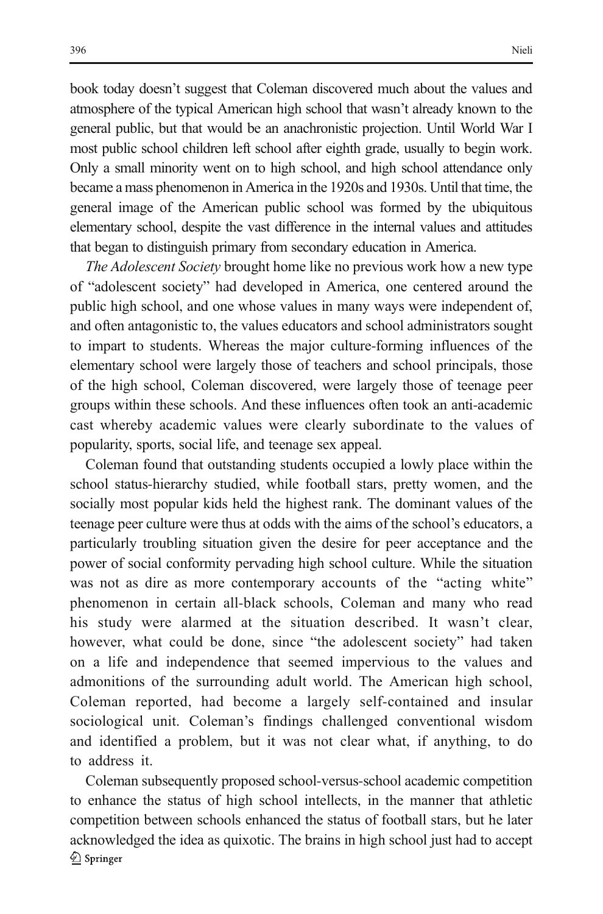book today doesn't suggest that Coleman discovered much about the values and atmosphere of the typical American high school that wasn't already known to the general public, but that would be an anachronistic projection. Until World War I most public school children left school after eighth grade, usually to begin work. Only a small minority went on to high school, and high school attendance only became a mass phenomenon in America in the 1920s and 1930s. Until that time, the general image of the American public school was formed by the ubiquitous elementary school, despite the vast difference in the internal values and attitudes that began to distinguish primary from secondary education in America.

The Adolescent Society brought home like no previous work how a new type of "adolescent society" had developed in America, one centered around the public high school, and one whose values in many ways were independent of, and often antagonistic to, the values educators and school administrators sought to impart to students. Whereas the major culture-forming influences of the elementary school were largely those of teachers and school principals, those of the high school, Coleman discovered, were largely those of teenage peer groups within these schools. And these influences often took an anti-academic cast whereby academic values were clearly subordinate to the values of popularity, sports, social life, and teenage sex appeal.

Coleman found that outstanding students occupied a lowly place within the school status-hierarchy studied, while football stars, pretty women, and the socially most popular kids held the highest rank. The dominant values of the teenage peer culture were thus at odds with the aims of the school's educators, a particularly troubling situation given the desire for peer acceptance and the power of social conformity pervading high school culture. While the situation was not as dire as more contemporary accounts of the "acting white" phenomenon in certain all-black schools, Coleman and many who read his study were alarmed at the situation described. It wasn't clear, however, what could be done, since "the adolescent society" had taken on a life and independence that seemed impervious to the values and admonitions of the surrounding adult world. The American high school, Coleman reported, had become a largely self-contained and insular sociological unit. Coleman's findings challenged conventional wisdom and identified a problem, but it was not clear what, if anything, to do to address it.

Coleman subsequently proposed school-versus-school academic competition to enhance the status of high school intellects, in the manner that athletic competition between schools enhanced the status of football stars, but he later acknowledged the idea as quixotic. The brains in high school just had to accept 2 Springer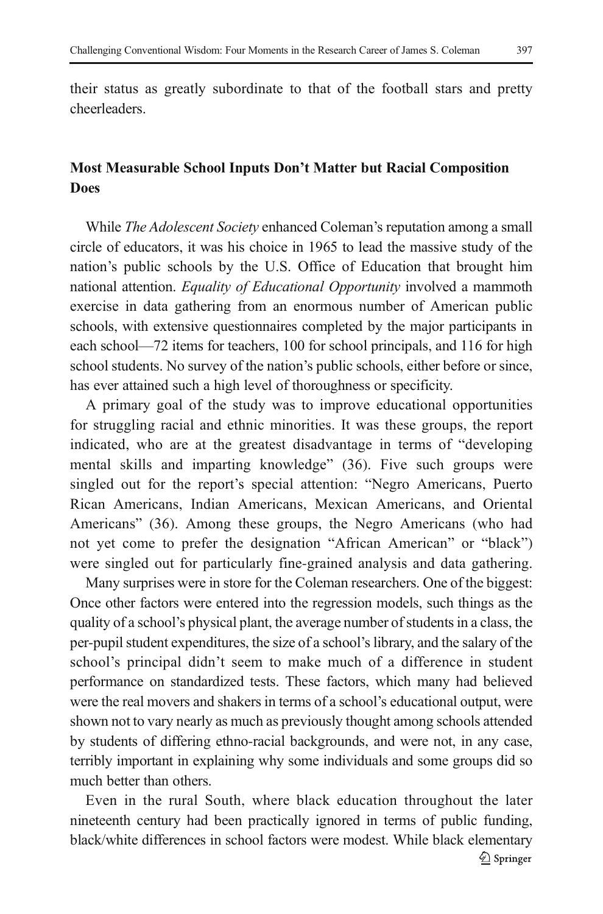their status as greatly subordinate to that of the football stars and pretty cheerleaders.

# Most Measurable School Inputs Don't Matter but Racial Composition Does

While *The Adolescent Society* enhanced Coleman's reputation among a small circle of educators, it was his choice in 1965 to lead the massive study of the nation's public schools by the U.S. Office of Education that brought him national attention. Equality of Educational Opportunity involved a mammoth exercise in data gathering from an enormous number of American public schools, with extensive questionnaires completed by the major participants in each school—72 items for teachers, 100 for school principals, and 116 for high school students. No survey of the nation's public schools, either before or since, has ever attained such a high level of thoroughness or specificity.

A primary goal of the study was to improve educational opportunities for struggling racial and ethnic minorities. It was these groups, the report indicated, who are at the greatest disadvantage in terms of "developing mental skills and imparting knowledge" (36). Five such groups were singled out for the report's special attention: "Negro Americans, Puerto Rican Americans, Indian Americans, Mexican Americans, and Oriental Americans" (36). Among these groups, the Negro Americans (who had not yet come to prefer the designation "African American" or "black") were singled out for particularly fine-grained analysis and data gathering.

Many surprises were in store for the Coleman researchers. One of the biggest: Once other factors were entered into the regression models, such things as the quality of a school's physical plant, the average number of students in a class, the per-pupil student expenditures, the size of a school's library, and the salary of the school's principal didn't seem to make much of a difference in student performance on standardized tests. These factors, which many had believed were the real movers and shakers in terms of a school's educational output, were shown not to vary nearly as much as previously thought among schools attended by students of differing ethno-racial backgrounds, and were not, in any case, terribly important in explaining why some individuals and some groups did so much better than others.

Even in the rural South, where black education throughout the later nineteenth century had been practically ignored in terms of public funding, black/white differences in school factors were modest. While black elementary Springer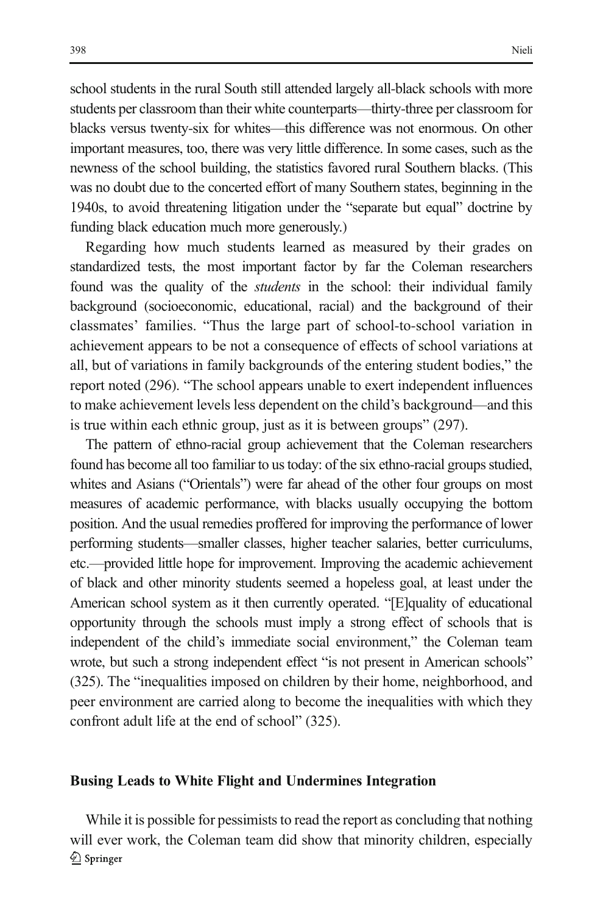school students in the rural South still attended largely all-black schools with more students per classroom than their white counterparts—thirty-three per classroom for blacks versus twenty-six for whites—this difference was not enormous. On other important measures, too, there was very little difference. In some cases, such as the newness of the school building, the statistics favored rural Southern blacks. (This was no doubt due to the concerted effort of many Southern states, beginning in the 1940s, to avoid threatening litigation under the "separate but equal" doctrine by funding black education much more generously.)

Regarding how much students learned as measured by their grades on standardized tests, the most important factor by far the Coleman researchers found was the quality of the students in the school: their individual family background (socioeconomic, educational, racial) and the background of their classmates' families. "Thus the large part of school-to-school variation in achievement appears to be not a consequence of effects of school variations at all, but of variations in family backgrounds of the entering student bodies," the report noted (296). "The school appears unable to exert independent influences to make achievement levels less dependent on the child's background—and this is true within each ethnic group, just as it is between groups" (297).

The pattern of ethno-racial group achievement that the Coleman researchers found has become all too familiar to us today: of the six ethno-racial groups studied, whites and Asians ("Orientals") were far ahead of the other four groups on most measures of academic performance, with blacks usually occupying the bottom position. And the usual remedies proffered for improving the performance of lower performing students—smaller classes, higher teacher salaries, better curriculums, etc.—provided little hope for improvement. Improving the academic achievement of black and other minority students seemed a hopeless goal, at least under the American school system as it then currently operated. "[E]quality of educational opportunity through the schools must imply a strong effect of schools that is independent of the child's immediate social environment," the Coleman team wrote, but such a strong independent effect "is not present in American schools" (325). The "inequalities imposed on children by their home, neighborhood, and peer environment are carried along to become the inequalities with which they confront adult life at the end of school" (325).

#### Busing Leads to White Flight and Undermines Integration

While it is possible for pessimists to read the report as concluding that nothing will ever work, the Coleman team did show that minority children, especially 2 Springer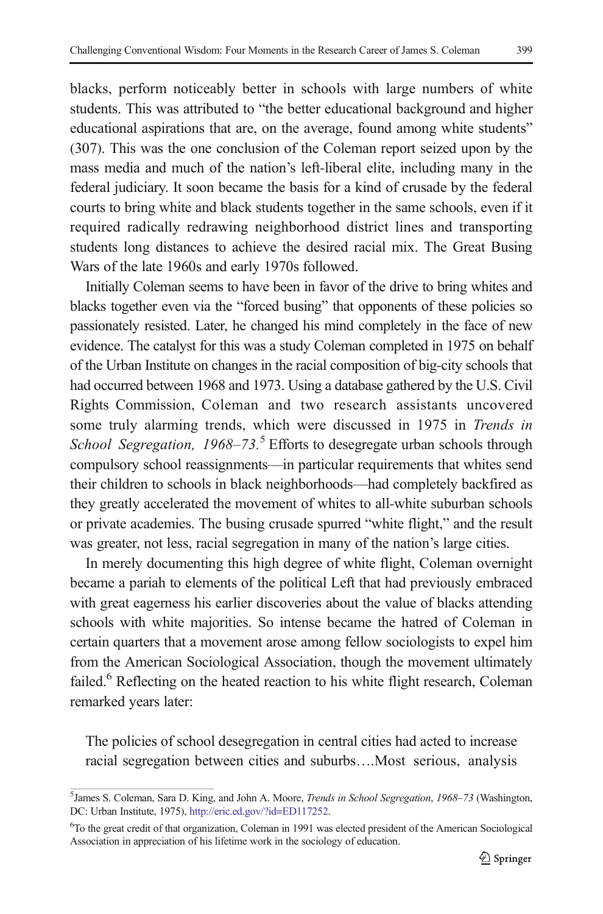blacks, perform noticeably better in schools with large numbers of white students. This was attributed to "the better educational background and higher educational aspirations that are, on the average, found among white students" (307). This was the one conclusion of the Coleman report seized upon by the mass media and much of the nation's left-liberal elite, including many in the federal judiciary. It soon became the basis for a kind of crusade by the federal courts to bring white and black students together in the same schools, even if it required radically redrawing neighborhood district lines and transporting students long distances to achieve the desired racial mix. The Great Busing Wars of the late 1960s and early 1970s followed.

Initially Coleman seems to have been in favor of the drive to bring whites and blacks together even via the "forced busing" that opponents of these policies so passionately resisted. Later, he changed his mind completely in the face of new evidence. The catalyst for this was a study Coleman completed in 1975 on behalf of the Urban Institute on changes in the racial composition of big-city schools that had occurred between 1968 and 1973. Using a database gathered by the U.S. Civil Rights Commission, Coleman and two research assistants uncovered some truly alarming trends, which were discussed in 1975 in Trends in School Segregation,  $1968-73.5$  Efforts to desegregate urban schools through compulsory school reassignments—in particular requirements that whites send their children to schools in black neighborhoods—had completely backfired as they greatly accelerated the movement of whites to all-white suburban schools or private academies. The busing crusade spurred "white flight," and the result was greater, not less, racial segregation in many of the nation's large cities.

In merely documenting this high degree of white flight, Coleman overnight became a pariah to elements of the political Left that had previously embraced with great eagerness his earlier discoveries about the value of blacks attending schools with white majorities. So intense became the hatred of Coleman in certain quarters that a movement arose among fellow sociologists to expel him from the American Sociological Association, though the movement ultimately failed.<sup>6</sup> Reflecting on the heated reaction to his white flight research, Coleman remarked years later:

The policies of school desegregation in central cities had acted to increase racial segregation between cities and suburbs….Most serious, analysis

<sup>&</sup>lt;sup>5</sup>James S. Coleman, Sara D. King, and John A. Moore, *Trends in School Segregation*, 1968-73 (Washington, DC: Urban Institute, 1975), <http://eric.ed.gov/?id=ED117252>.

<sup>6</sup> To the great credit of that organization, Coleman in 1991 was elected president of the American Sociological Association in appreciation of his lifetime work in the sociology of education.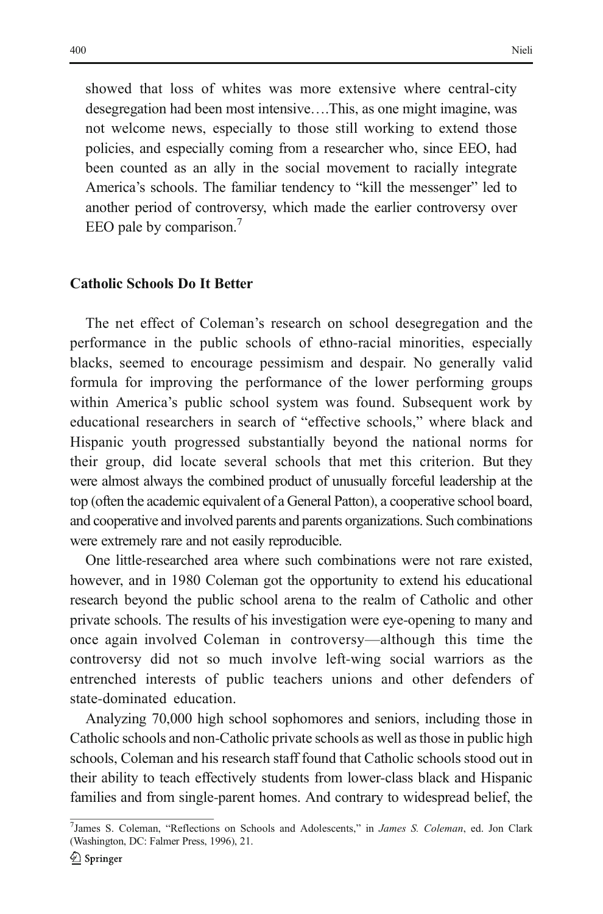showed that loss of whites was more extensive where central-city desegregation had been most intensive….This, as one might imagine, was not welcome news, especially to those still working to extend those policies, and especially coming from a researcher who, since EEO, had been counted as an ally in the social movement to racially integrate America's schools. The familiar tendency to "kill the messenger" led to another period of controversy, which made the earlier controversy over EEO pale by comparison.<sup>7</sup>

#### Catholic Schools Do It Better

The net effect of Coleman's research on school desegregation and the performance in the public schools of ethno-racial minorities, especially blacks, seemed to encourage pessimism and despair. No generally valid formula for improving the performance of the lower performing groups within America's public school system was found. Subsequent work by educational researchers in search of "effective schools," where black and Hispanic youth progressed substantially beyond the national norms for their group, did locate several schools that met this criterion. But they were almost always the combined product of unusually forceful leadership at the top (often the academic equivalent of a General Patton), a cooperative school board, and cooperative and involved parents and parents organizations. Such combinations were extremely rare and not easily reproducible.

One little-researched area where such combinations were not rare existed, however, and in 1980 Coleman got the opportunity to extend his educational research beyond the public school arena to the realm of Catholic and other private schools. The results of his investigation were eye-opening to many and once again involved Coleman in controversy—although this time the controversy did not so much involve left-wing social warriors as the entrenched interests of public teachers unions and other defenders of state-dominated education.

Analyzing 70,000 high school sophomores and seniors, including those in Catholic schools and non-Catholic private schools as well as those in public high schools, Coleman and his research staff found that Catholic schools stood out in their ability to teach effectively students from lower-class black and Hispanic families and from single-parent homes. And contrary to widespread belief, the

<sup>&</sup>lt;sup>7</sup>James S. Coleman, "Reflections on Schools and Adolescents," in James S. Coleman, ed. Jon Clark (Washington, DC: Falmer Press, 1996), 21.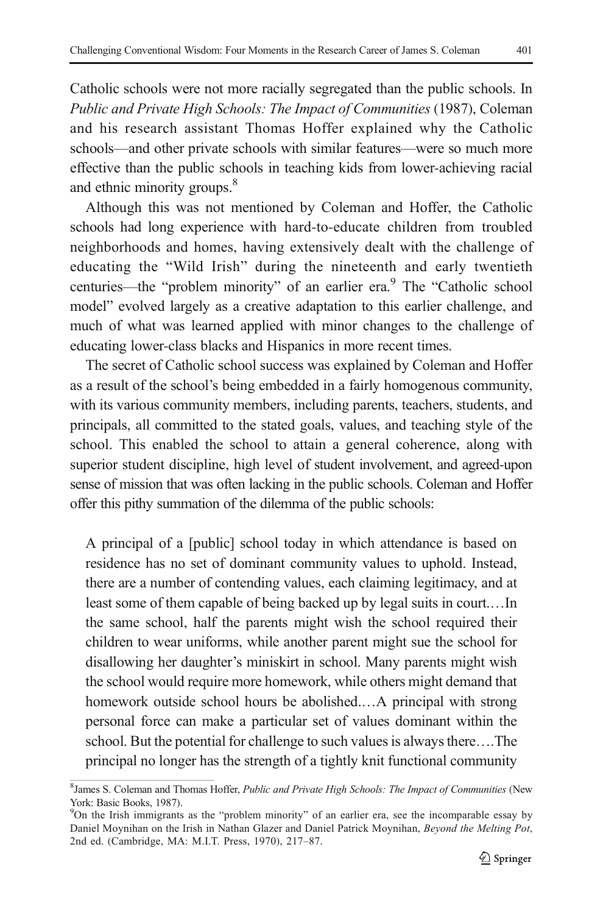Catholic schools were not more racially segregated than the public schools. In Public and Private High Schools: The Impact of Communities (1987), Coleman and his research assistant Thomas Hoffer explained why the Catholic schools—and other private schools with similar features—were so much more effective than the public schools in teaching kids from lower-achieving racial and ethnic minority groups.<sup>8</sup>

Although this was not mentioned by Coleman and Hoffer, the Catholic schools had long experience with hard-to-educate children from troubled neighborhoods and homes, having extensively dealt with the challenge of educating the "Wild Irish" during the nineteenth and early twentieth centuries—the "problem minority" of an earlier era.<sup>9</sup> The "Catholic school model" evolved largely as a creative adaptation to this earlier challenge, and much of what was learned applied with minor changes to the challenge of educating lower-class blacks and Hispanics in more recent times.

The secret of Catholic school success was explained by Coleman and Hoffer as a result of the school's being embedded in a fairly homogenous community, with its various community members, including parents, teachers, students, and principals, all committed to the stated goals, values, and teaching style of the school. This enabled the school to attain a general coherence, along with superior student discipline, high level of student involvement, and agreed-upon sense of mission that was often lacking in the public schools. Coleman and Hoffer offer this pithy summation of the dilemma of the public schools:

A principal of a [public] school today in which attendance is based on residence has no set of dominant community values to uphold. Instead, there are a number of contending values, each claiming legitimacy, and at least some of them capable of being backed up by legal suits in court.…In the same school, half the parents might wish the school required their children to wear uniforms, while another parent might sue the school for disallowing her daughter's miniskirt in school. Many parents might wish the school would require more homework, while others might demand that homework outside school hours be abolished.…A principal with strong personal force can make a particular set of values dominant within the school. But the potential for challenge to such values is always there….The principal no longer has the strength of a tightly knit functional community

<sup>&</sup>lt;sup>8</sup>James S. Coleman and Thomas Hoffer, Public and Private High Schools: The Impact of Communities (New York: Basic Books, 1987).

<sup>&</sup>lt;sup>9</sup>On the Irish immigrants as the "problem minority" of an earlier era, see the incomparable essay by Daniel Moynihan on the Irish in Nathan Glazer and Daniel Patrick Moynihan, Beyond the Melting Pot, 2nd ed. (Cambridge, MA: M.I.T. Press, 1970), 217–87.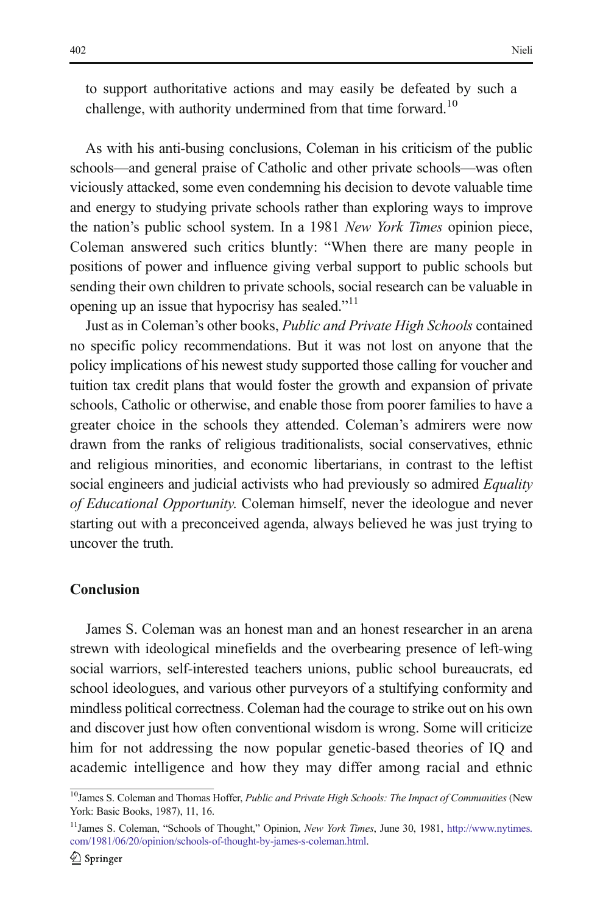to support authoritative actions and may easily be defeated by such a challenge, with authority undermined from that time forward.<sup>10</sup>

As with his anti-busing conclusions, Coleman in his criticism of the public schools—and general praise of Catholic and other private schools—was often viciously attacked, some even condemning his decision to devote valuable time and energy to studying private schools rather than exploring ways to improve the nation's public school system. In a 1981 New York Times opinion piece, Coleman answered such critics bluntly: "When there are many people in positions of power and influence giving verbal support to public schools but sending their own children to private schools, social research can be valuable in opening up an issue that hypocrisy has sealed."<sup>11</sup>

Just as in Coleman's other books, Public and Private High Schools contained no specific policy recommendations. But it was not lost on anyone that the policy implications of his newest study supported those calling for voucher and tuition tax credit plans that would foster the growth and expansion of private schools, Catholic or otherwise, and enable those from poorer families to have a greater choice in the schools they attended. Coleman's admirers were now drawn from the ranks of religious traditionalists, social conservatives, ethnic and religious minorities, and economic libertarians, in contrast to the leftist social engineers and judicial activists who had previously so admired *Equality* of Educational Opportunity. Coleman himself, never the ideologue and never starting out with a preconceived agenda, always believed he was just trying to uncover the truth.

## Conclusion

James S. Coleman was an honest man and an honest researcher in an arena strewn with ideological minefields and the overbearing presence of left-wing social warriors, self-interested teachers unions, public school bureaucrats, ed school ideologues, and various other purveyors of a stultifying conformity and mindless political correctness. Coleman had the courage to strike out on his own and discover just how often conventional wisdom is wrong. Some will criticize him for not addressing the now popular genetic-based theories of IQ and academic intelligence and how they may differ among racial and ethnic

 $10$ James S. Coleman and Thomas Hoffer, Public and Private High Schools: The Impact of Communities (New York: Basic Books, 1987), 11, 16.

<sup>&</sup>lt;sup>11</sup>James S. Coleman, "Schools of Thought," Opinion, New York Times, June 30, 1981, [http://www.nytimes.](http://www.nytimes.com/1981/06/20/opinion/schools-of-thought-by-james-s-coleman.html) [com/1981/06/20/opinion/schools-of-thought-by-james-s-coleman.html](http://www.nytimes.com/1981/06/20/opinion/schools-of-thought-by-james-s-coleman.html).